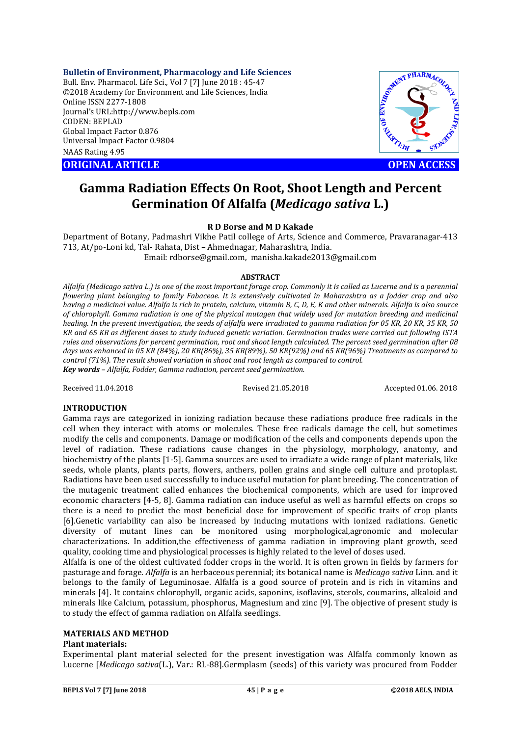**Bulletin of Environment, Pharmacology and Life Sciences**

Bull. Env. Pharmacol. Life Sci., Vol 7 [7] June 2018 : 45-47 ©2018 Academy for Environment and Life Sciences, India Online ISSN 2277-1808 Journal's URL:http://www.bepls.com CODEN: BEPLAD Global Impact Factor 0.876 Universal Impact Factor 0.9804 NAAS Rating 4.95 COLUMPTION CONTROLL ARTICLE<br>
ORIGINAL ARTICLE<br>
ORIGINAL ARTICLE<br>
ORIGINAL ARTICLE<br>
ORIGINAL ARTICLE<br>
ORIGINAL ARTICLE<br>
OPEN ACCESS



# **Gamma Radiation Effects On Root, Shoot Length and Percent Germination Of Alfalfa (***Medicago sativa* **L.)**

# **R D Borse and M D Kakade**

Department of Botany, Padmashri Vikhe Patil college of Arts, Science and Commerce, Pravaranagar-413 713, At/po-Loni kd, Tal- Rahata, Dist – Ahmednagar, Maharashtra, India. Email: rdborse@gmail.com, manisha.kakade2013@gmail.com

# **ABSTRACT**

*Alfalfa (Medicago sativa L.) is one of the most important forage crop. Commonly it is called as Lucerne and is a perennial flowering plant belonging to family Fabaceae. It is extensively cultivated in Maharashtra as a fodder crop and also having a medicinal value. Alfalfa is rich in protein, calcium, vitamin B, C, D, E, K and other minerals. Alfalfa is also source of chlorophyll. Gamma radiation is one of the physical mutagen that widely used for mutation breeding and medicinal healing. In the present investigation, the seeds of alfalfa were irradiated to gamma radiation for 05 KR, 20 KR, 35 KR, 50 KR and 65 KR as different doses to study induced genetic variation. Germination trades were carried out following ISTA rules and observations for percent germination, root and shoot length calculated. The percent seed germination after 08 days was enhanced in 05 KR (84%), 20 KR(86%), 35 KR(89%), 50 KR(92%) and 65 KR(96%) Treatments as compared to control (71%). The result showed variation in shoot and root length as compared to control. Key words – Alfalfa, Fodder, Gamma radiation, percent seed germination.*

Received 11.04.2018 Revised 21.05.2018 Accepted 01.06. 2018

# **INTRODUCTION**

Gamma rays are categorized in ionizing radiation because these radiations produce free radicals in the cell when they interact with atoms or molecules. These free radicals damage the cell, but sometimes modify the cells and components. Damage or modification of the cells and components depends upon the level of radiation. These radiations cause changes in the physiology, morphology, anatomy, and biochemistry of the plants [1-5]. Gamma sources are used to irradiate a wide range of plant materials, like seeds, whole plants, plants parts, flowers, anthers, pollen grains and single cell culture and protoplast. Radiations have been used successfully to induce useful mutation for plant breeding. The concentration of the mutagenic treatment called enhances the biochemical components, which are used for improved economic characters [4-5, 8]. Gamma radiation can induce useful as well as harmful effects on crops so there is a need to predict the most beneficial dose for improvement of specific traits of crop plants [6].Genetic variability can also be increased by inducing mutations with ionized radiations. Genetic diversity of mutant lines can be monitored using morphological,agronomic and molecular characterizations. In addition,the effectiveness of gamma radiation in improving plant growth, seed quality, cooking time and physiological processes is highly related to the level of doses used.

Alfalfa is one of the oldest cultivated fodder crops in the world. It is often grown in fields by farmers for pasturage and forage. *Alfalfa* is an herbaceous perennial; its botanical name is *Medicago sativa* Linn. and it belongs to the family of Leguminosae. Alfalfa is a good source of protein and is rich in vitamins and minerals [4]. It contains chlorophyll, organic acids, saponins, isoflavins, sterols, coumarins, alkaloid and minerals like Calcium, potassium, phosphorus, Magnesium and zinc [9]. The objective of present study is to study the effect of gamma radiation on Alfalfa seedlings.

# **MATERIALS AND METHOD**

# **Plant materials:**

Experimental plant material selected for the present investigation was Alfalfa commonly known as Lucerne [*Medicago sativa*(L.), Var.: RL-88].Germplasm (seeds) of this variety was procured from Fodder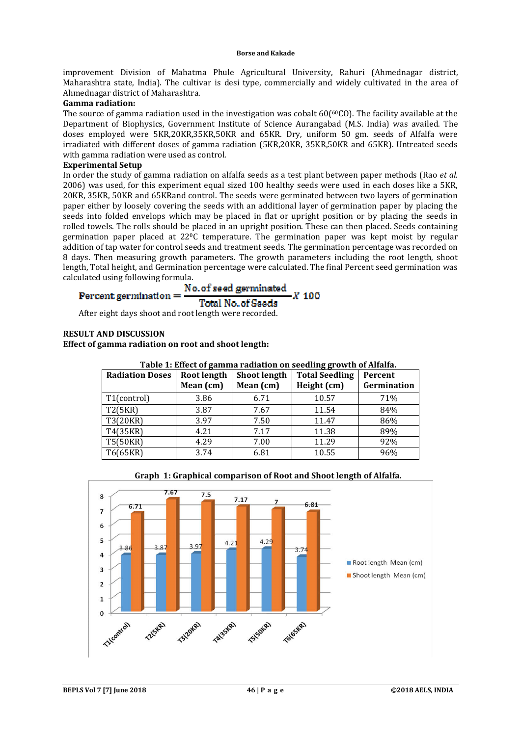improvement Division of Mahatma Phule Agricultural University, Rahuri (Ahmednagar district, Maharashtra state, India). The cultivar is desi type, commercially and widely cultivated in the area of Ahmednagar district of Maharashtra.

# **Gamma radiation:**

The source of gamma radiation used in the investigation was cobalt 60(<sup>60</sup>CO). The facility available at the Department of Biophysics, Government Institute of Science Aurangabad (M.S. India) was availed. The doses employed were 5KR,20KR,35KR,50KR and 65KR. Dry, uniform 50 gm. seeds of Alfalfa were irradiated with different doses of gamma radiation (5KR,20KR, 35KR,50KR and 65KR). Untreated seeds with gamma radiation were used as control.

# **Experimental Setup**

In order the study of gamma radiation on alfalfa seeds as a test plant between paper methods (Rao *et al*. 2006) was used, for this experiment equal sized 100 healthy seeds were used in each doses like a 5KR, 20KR, 35KR, 50KR and 65KRand control. The seeds were germinated between two layers of germination paper either by loosely covering the seeds with an additional layer of germination paper by placing the seeds into folded envelops which may be placed in flat or upright position or by placing the seeds in rolled towels. The rolls should be placed in an upright position. These can then placed. Seeds containing germination paper placed at  $22^{\circ}$ C temperature. The germination paper was kept moist by regular addition of tap water for control seeds and treatment seeds. The germination percentage was recorded on 8 days. Then measuring growth parameters. The growth parameters including the root length, shoot length, Total height, and Germination percentage were calculated. The final Percent seed germination was

calculated using following formula.<br>Percent germination =  $\frac{No. of seed germinated}{P}$  $X$  100 **Total No. of Seeds** 

After eight days shoot and root length were recorded.

# **RESULT AND DISCUSSION**

**Effect of gamma radiation on root and shoot length:**

| <b>Radiation Doses</b> | Root length | <b>Shoot length</b> | Table 11 Bheet of gamma Faulution on becaming growth of financi<br><b>Total Seedling</b> | Percent     |
|------------------------|-------------|---------------------|------------------------------------------------------------------------------------------|-------------|
|                        | Mean (cm)   | Mean (cm)           | Height (cm)                                                                              | Germination |
| T1(control)            | 3.86        | 6.71                | 10.57                                                                                    | 71%         |
| T2(5KR)                | 3.87        | 7.67                | 11.54                                                                                    | 84%         |
| T3(20KR)               | 3.97        | 7.50                | 11.47                                                                                    | 86%         |
| T4(35KR)               | 4.21        | 7.17                | 11.38                                                                                    | 89%         |
| T5(50KR)               | 4.29        | 7.00                | 11.29                                                                                    | 92%         |
| T6(65KR)               | 3.74        | 6.81                | 10.55                                                                                    | 96%         |

# **Table 1: Effect of gamma radiation on seedling growth of Alfalfa.**



# **Graph 1: Graphical comparison of Root and Shoot length of Alfalfa.**